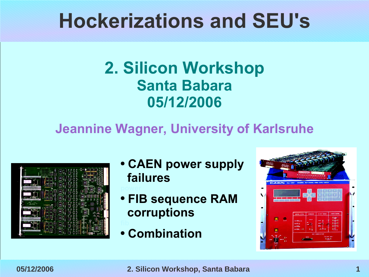### **Hockerizations and SEU's**

### **2. Silicon Workshop Santa Babara 05/12/2006**

### **Jeannine Wagner, University of Karlsruhe**

|                                                                                                   | œ<br><b>STORY</b><br>$\approx 5\,\mathrm{s}$<br>-88<br>a.<br>a.<br>m                                                                                                                                                                     |
|---------------------------------------------------------------------------------------------------|------------------------------------------------------------------------------------------------------------------------------------------------------------------------------------------------------------------------------------------|
| $-1$<br>⊶<br>ø                                                                                    | i Ch<br>٠<br>п<br>÷<br>е<br>e.<br>l<br><b>Second</b><br>e digital.<br>٠<br>g<br>۰<br>۰<br>e<br>÷<br><br><b>Side</b><br>m<br>ø<br>a,<br>ü<br><b>Kill</b><br><b>Code</b><br><b>Sep</b>                                                     |
| <b>AND RESIDENT</b><br><b>APROVED</b><br><b>COLORED IN</b><br>w                                   | ×<br><b>TELETIN</b><br><b>COLOR</b><br><br>n p<br><br>÷<br><br>۰<br>æ<br>è<br>화<br>w<br>μ<br>29.00<br>ţ<br>i<br>ä<br>w<br><br>ă<br>18<br>٠<br>п<br>M<br>M<br>π                                                                           |
| ٠<br>٠<br>$-1$<br><b>COMPANY</b>                                                                  | <b>Security</b><br>$\sim$<br>调<br>14<br>酯<br><b>ISE</b><br>٠<br>ì.<br>ł<br><b>STAR</b><br>ł<br>ю<br><b>CD 2.3</b><br>ĭ<br>х<br>ı<br>÷<br><br>п<br>m<br><br>ìП<br>m<br>m.<br>٠<br><b>SOM</b><br>- 6<br>面<br>補<br>æ<br>國<br>tet<br>'n<br>æ |
| · cities survived area<br><br>ship Wales Chrysler<br><b>Different Avenue</b><br><b>Signs</b><br>٠ | 網<br>×<br>÷<br>灟<br>Ħ<br>n.<br>比<br><br>復<br>m<br>Ŧ<br>-<br>ō<br><b>RHA</b><br>с<br>橘<br>m<br>102<br>m.<br>٠<br>×<br>w<br>. .                                                                                                            |
| ٠<br>and it<br>r.                                                                                 | a<br>۰.<br>×,<br>٠<br>v<br>185<br>÷e.<br><b>ISS</b><br>1949<br>m<br>ł<br>ł<br>÷<br>٠<br>۰<br>٠.<br><b>COLOR</b><br>пf<br>o<br>18<br>m<br>$\sim$<br>r<br>Ň.<br>۰<br>Ξ<br>н<br>٠                                                           |
| <b>More Call</b><br>龍野<br>œ                                                                       | a.<br>鈞<br><b>id</b><br>÷<br>٠<br>i<br>Ξ<br>æ<br>碍<br>÷<br>m<br>m<br>- 9<br>×<br>内<br>m<br>105<br>m<br>ш<br>×<br>٠<br>ł                                                                                                                  |
| 3147                                                                                              | 4<br>÷<br><b><i><u>Presidents</u></i></b><br>в<br>162<br>×<br>٠<br>w<br>a.<br>$-$                                                                                                                                                        |

- **CAEN power supply failures**
- **FIB sequence RAM corruptions**
- **Combination**

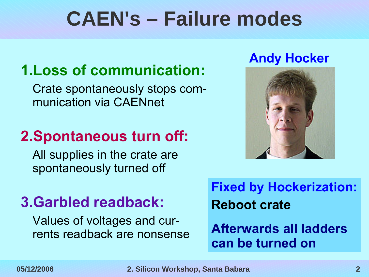## **CAEN's – Failure modes**

### **1.Loss of communication:**

Crate spontaneously stops communication via CAENnet

### **2.Spontaneous turn off:**

All supplies in the crate are spontaneously turned off

### **3.Garbled readback:**

Values of voltages and currents readback are nonsense

### **Andy Hocker**



**Fixed by Hockerization: Reboot crate**

**Afterwards all ladders can be turned on**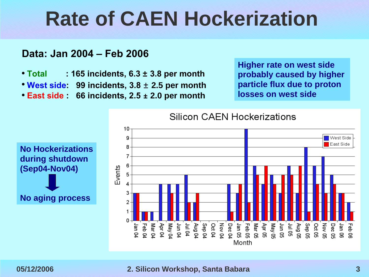### **Rate of CAEN Hockerization**

#### **Data: Jan 2004 – Feb 2006**

- **Total : 165 incidents, 6.3 ± 3.8 per month**
- **West side: 99 incidents, 3.8** ± **2.5 per month**
- **East side : 66 incidents, 2.5 ± 2.0 per month**

**Higher rate on west side probably caused by higher particle flux due to proton losses on west side**



#### **05/12/2006 2. Silicon Workshop, Santa Babara 3**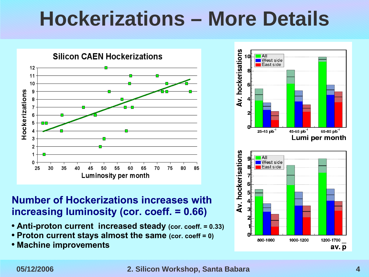# **Hockerizations – More Details**



#### **Number of Hockerizations increases with increasing luminosity (cor. coeff. = 0.66)**

- **Anti-proton current increased steady (cor. coeff. = 0.33)**
- **Proton current stays almost the same (cor. coeff = 0)**
- **Machine improvements**

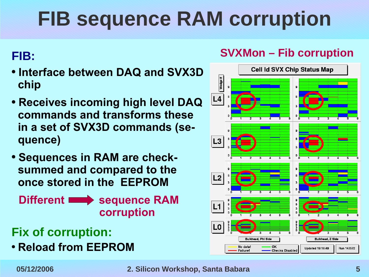# **FIB sequence RAM corruption**

#### **FIB:**

- **Interface between DAQ and SVX3D chip**
- **Receives incoming high level DAQ commands and transforms these in a set of SVX3D commands (sequence)**
- **Sequences in RAM are checksummed and compared to the once stored in the EEPROM**

**fDifferent sequence RAM corruption**

### **Fix of corruption:**

● **Reload from EEPROM**





#### **05/12/2006 2. Silicon Workshop, Santa Babara 5**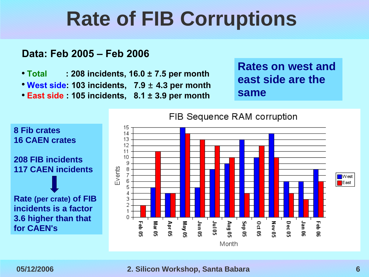# **Rate of FIB Corruptions**

#### **Data: Feb 2005 – Feb 2006**

- **Total : 208 incidents, 16.0 ± 7.5 per month**
- **West side: 103 incidents, 7.9** ± **4.3 per month**
- **East side : 105 incidents, 8.1 ± 3.9 per month**

**Rates on west and east side are the same**



#### **05/12/2006 2. Silicon Workshop, Santa Babara 6**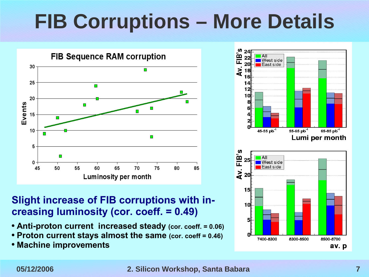# **FIB Corruptions – More Details**



#### **Slight increase of FIB corruptions with increasing luminosity (cor. coeff. = 0.49)**

- **Anti-proton current increased steady (cor. coeff. = 0.06)**
- **Proton current stays almost the same (cor. coeff = 0.46)**
- **Machine improvements**



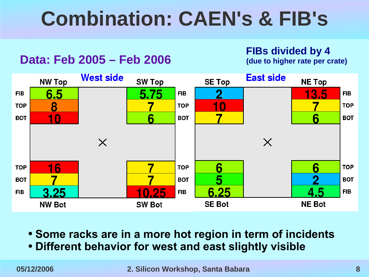# **Combination: CAEN's & FIB's**

#### **Data: Feb 2005 – Feb 2006**

**FIBs divided by 4 (due to higher rate per crate)**



- **Some racks are in a more hot region in term of incidents**
- **Different behavior for west and east slightly visible**